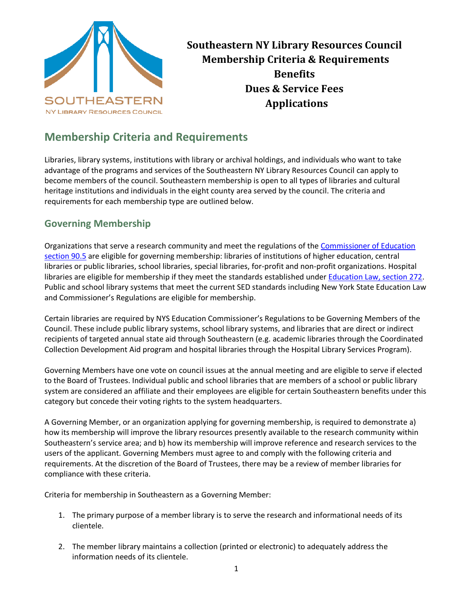

**Southeastern NY Library Resources Council Membership Criteria & Requirements Benefits Dues & Service Fees Applications**

## **Membership Criteria and Requirements**

Libraries, library systems, institutions with library or archival holdings, and individuals who want to take advantage of the programs and services of the Southeastern NY Library Resources Council can apply to become members of the council. Southeastern membership is open to all types of libraries and cultural heritage institutions and individuals in the eight county area served by the council. The criteria and requirements for each membership type are outlined below.

### **Governing Membership**

Organizations that serve a research community and meet the regulations of the Commissioner of Education [section 90.5](http://www.nysl.nysed.gov/libdev/excerpts/finished_regs/905.htm) are eligible for governing membership: libraries of institutions of higher education, central libraries or public libraries, school libraries, special libraries, for-profit and non-profit organizations. Hospital libraries are eligible for membership if they meet the standards established under [Education Law, section 272.](https://www.nysenate.gov/legislation/laws/EDN/272) Public and school library systems that meet the current SED standards including New York State Education Law and Commissioner's Regulations are eligible for membership.

Certain libraries are required by NYS Education Commissioner's Regulations to be Governing Members of the Council. These include public library systems, school library systems, and libraries that are direct or indirect recipients of targeted annual state aid through Southeastern (e.g. academic libraries through the Coordinated Collection Development Aid program and hospital libraries through the Hospital Library Services Program).

Governing Members have one vote on council issues at the annual meeting and are eligible to serve if elected to the Board of Trustees. Individual public and school libraries that are members of a school or public library system are considered an affiliate and their employees are eligible for certain Southeastern benefits under this category but concede their voting rights to the system headquarters.

A Governing Member, or an organization applying for governing membership, is required to demonstrate a) how its membership will improve the library resources presently available to the research community within Southeastern's service area; and b) how its membership will improve reference and research services to the users of the applicant. Governing Members must agree to and comply with the following criteria and requirements. At the discretion of the Board of Trustees, there may be a review of member libraries for compliance with these criteria.

Criteria for membership in Southeastern as a Governing Member:

- 1. The primary purpose of a member library is to serve the research and informational needs of its clientele.
- 2. The member library maintains a collection (printed or electronic) to adequately address the information needs of its clientele.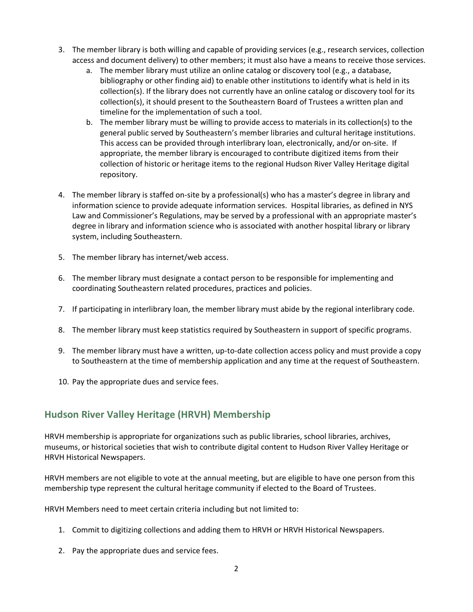- 3. The member library is both willing and capable of providing services (e.g., research services, collection access and document delivery) to other members; it must also have a means to receive those services.
	- a. The member library must utilize an online catalog or discovery tool (e.g., a database, bibliography or other finding aid) to enable other institutions to identify what is held in its collection(s). If the library does not currently have an online catalog or discovery tool for its collection(s), it should present to the Southeastern Board of Trustees a written plan and timeline for the implementation of such a tool.
	- b. The member library must be willing to provide access to materials in its collection(s) to the general public served by Southeastern's member libraries and cultural heritage institutions. This access can be provided through interlibrary loan, electronically, and/or on-site. If appropriate, the member library is encouraged to contribute digitized items from their collection of historic or heritage items to the regional Hudson River Valley Heritage digital repository.
- 4. The member library is staffed on-site by a professional(s) who has a master's degree in library and information science to provide adequate information services. Hospital libraries, as defined in NYS Law and Commissioner's Regulations, may be served by a professional with an appropriate master's degree in library and information science who is associated with another hospital library or library system, including Southeastern.
- 5. The member library has internet/web access.
- 6. The member library must designate a contact person to be responsible for implementing and coordinating Southeastern related procedures, practices and policies.
- 7. If participating in interlibrary loan, the member library must abide by the regional interlibrary code.
- 8. The member library must keep statistics required by Southeastern in support of specific programs.
- 9. The member library must have a written, up-to-date collection access policy and must provide a copy to Southeastern at the time of membership application and any time at the request of Southeastern.
- 10. Pay the appropriate dues and service fees.

## **Hudson River Valley Heritage (HRVH) Membership**

HRVH membership is appropriate for organizations such as public libraries, school libraries, archives, museums, or historical societies that wish to contribute digital content to Hudson River Valley Heritage or HRVH Historical Newspapers.

HRVH members are not eligible to vote at the annual meeting, but are eligible to have one person from this membership type represent the cultural heritage community if elected to the Board of Trustees.

HRVH Members need to meet certain criteria including but not limited to:

- 1. Commit to digitizing collections and adding them to HRVH or HRVH Historical Newspapers.
- 2. Pay the appropriate dues and service fees.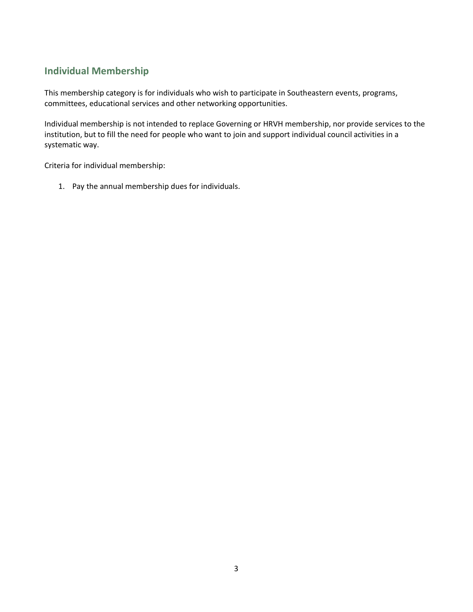## **Individual Membership**

This membership category is for individuals who wish to participate in Southeastern events, programs, committees, educational services and other networking opportunities.

Individual membership is not intended to replace Governing or HRVH membership, nor provide services to the institution, but to fill the need for people who want to join and support individual council activities in a systematic way.

Criteria for individual membership:

1. Pay the annual membership dues for individuals.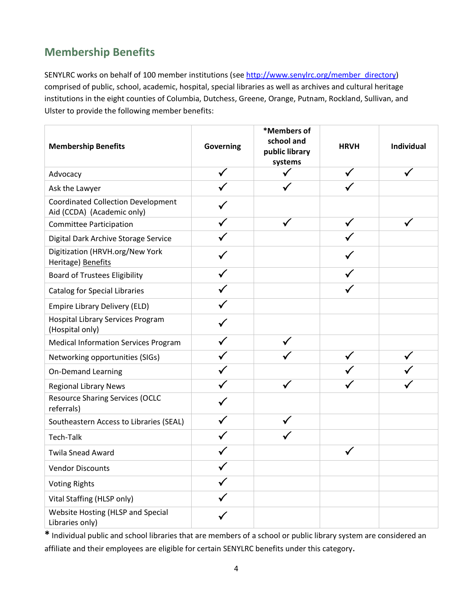# **Membership Benefits**

SENYLRC works on behalf of 100 member institutions (see [http://www.senylrc.org/member\\_directory\)](http://www.senylrc.org/member_directory) comprised of public, school, academic, hospital, special libraries as well as archives and cultural heritage institutions in the eight counties of Columbia, Dutchess, Greene, Orange, Putnam, Rockland, Sullivan, and Ulster to provide the following member benefits:

| <b>Membership Benefits</b>                                              | <b>Governing</b> | *Members of<br>school and<br>public library<br>systems | <b>HRVH</b>  | Individual |
|-------------------------------------------------------------------------|------------------|--------------------------------------------------------|--------------|------------|
| Advocacy                                                                |                  |                                                        |              |            |
| Ask the Lawyer                                                          |                  |                                                        |              |            |
| <b>Coordinated Collection Development</b><br>Aid (CCDA) (Academic only) |                  |                                                        |              |            |
| <b>Committee Participation</b>                                          |                  |                                                        | ✓            |            |
| Digital Dark Archive Storage Service                                    |                  |                                                        |              |            |
| Digitization (HRVH.org/New York<br>Heritage) Benefits                   |                  |                                                        |              |            |
| <b>Board of Trustees Eligibility</b>                                    |                  |                                                        |              |            |
| <b>Catalog for Special Libraries</b>                                    |                  |                                                        |              |            |
| <b>Empire Library Delivery (ELD)</b>                                    |                  |                                                        |              |            |
| <b>Hospital Library Services Program</b><br>(Hospital only)             |                  |                                                        |              |            |
| <b>Medical Information Services Program</b>                             |                  |                                                        |              |            |
| Networking opportunities (SIGs)                                         |                  |                                                        |              |            |
| <b>On-Demand Learning</b>                                               |                  |                                                        |              |            |
| <b>Regional Library News</b>                                            |                  |                                                        |              |            |
| <b>Resource Sharing Services (OCLC</b><br>referrals)                    |                  |                                                        |              |            |
| Southeastern Access to Libraries (SEAL)                                 |                  |                                                        |              |            |
| <b>Tech-Talk</b>                                                        |                  |                                                        |              |            |
| <b>Twila Snead Award</b>                                                |                  |                                                        | $\checkmark$ |            |
| <b>Vendor Discounts</b>                                                 |                  |                                                        |              |            |
| <b>Voting Rights</b>                                                    |                  |                                                        |              |            |
| Vital Staffing (HLSP only)                                              |                  |                                                        |              |            |
| Website Hosting (HLSP and Special<br>Libraries only)                    |                  |                                                        |              |            |

**\*** Individual public and school libraries that are members of a school or public library system are considered an affiliate and their employees are eligible for certain SENYLRC benefits under this category.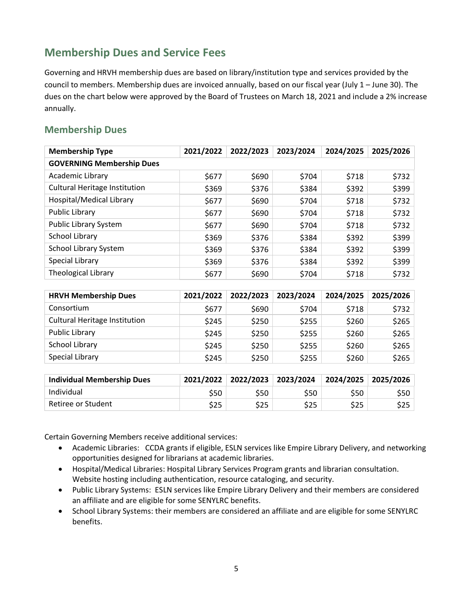## **Membership Dues and Service Fees**

Governing and HRVH membership dues are based on library/institution type and services provided by the council to members. Membership dues are invoiced annually, based on our fiscal year (July 1 – June 30). The dues on the chart below were approved by the Board of Trustees on March 18, 2021 and include a 2% increase annually.

### **Membership Dues**

| <b>Membership Type</b>               | 2021/2022 | 2022/2023 | 2023/2024 | 2024/2025 | 2025/2026 |
|--------------------------------------|-----------|-----------|-----------|-----------|-----------|
| <b>GOVERNING Membership Dues</b>     |           |           |           |           |           |
| Academic Library                     | \$677     | \$690     | \$704     | \$718     | \$732     |
| <b>Cultural Heritage Institution</b> | \$369     | \$376     | \$384     | \$392     | \$399     |
| Hospital/Medical Library             | \$677     | \$690     | \$704     | \$718     | \$732     |
| <b>Public Library</b>                | \$677     | \$690     | \$704     | \$718     | \$732     |
| Public Library System                | \$677     | \$690     | \$704     | \$718     | \$732     |
| <b>School Library</b>                | \$369     | \$376     | \$384     | \$392     | \$399     |
| School Library System                | \$369     | \$376     | \$384     | \$392     | \$399     |
| Special Library                      | \$369     | \$376     | \$384     | \$392     | \$399     |
| <b>Theological Library</b>           | \$677     | \$690     | \$704     | \$718     | \$732     |
|                                      |           |           |           |           |           |
| <b>HRVH Membership Dues</b>          | 2021/2022 | 2022/2023 | 2023/2024 | 2024/2025 | 2025/2026 |
| Consortium                           | \$677     | \$690     | \$704     | \$718     | \$732     |
| <b>Cultural Heritage Institution</b> | \$245     | \$250     | \$255     | \$260     | \$265     |
| <b>Public Library</b>                | \$245     | \$250     | \$255     | \$260     | \$265     |

| <b>Individual Membership Dues</b> | 2021/2022 | $\vert$ 2022/2023 $\vert$ 2023/2024 |      | 2024/2025 2025/2026 |      |
|-----------------------------------|-----------|-------------------------------------|------|---------------------|------|
| Individual                        | \$50      | S50                                 | \$50 | S50                 | S50. |
| Retiree or Student                | \$25      | \$25                                | \$25 | \$25                | \$25 |

 $School Library$   $$245$   $$250$   $$255$   $$260$   $$265$ Special Library \$245 \$250 \$255 \$260 \$265

Certain Governing Members receive additional services:

- Academic Libraries: CCDA grants if eligible, ESLN services like Empire Library Delivery, and networking opportunities designed for librarians at academic libraries.
- Hospital/Medical Libraries: Hospital Library Services Program grants and librarian consultation. Website hosting including authentication, resource cataloging, and security.
- Public Library Systems: ESLN services like Empire Library Delivery and their members are considered an affiliate and are eligible for some SENYLRC benefits.
- School Library Systems: their members are considered an affiliate and are eligible for some SENYLRC benefits.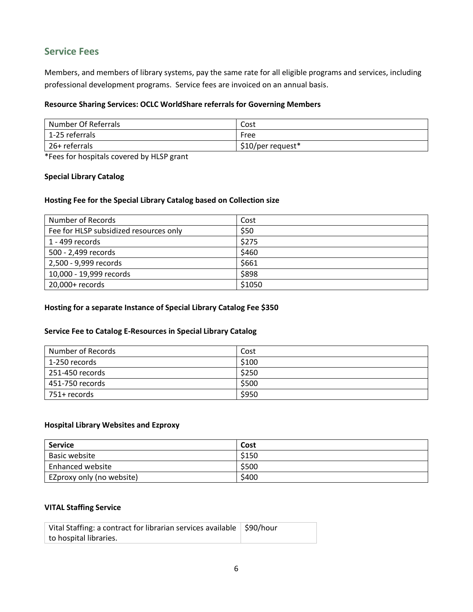## **Service Fees**

Members, and members of library systems, pay the same rate for all eligible programs and services, including professional development programs. Service fees are invoiced on an annual basis.

#### **Resource Sharing Services: OCLC WorldShare referrals for Governing Members**

| Number Of Referrals | Cost              |
|---------------------|-------------------|
| 1-25 referrals      | Free              |
| 26+ referrals       | \$10/per request* |

\*Fees for hospitals covered by HLSP grant

#### **Special Library Catalog**

#### **Hosting Fee for the Special Library Catalog based on Collection size**

| Number of Records                      | Cost   |
|----------------------------------------|--------|
| Fee for HLSP subsidized resources only | \$50   |
| 1 - 499 records                        | \$275  |
| 500 - 2,499 records                    | \$460  |
| 2,500 - 9,999 records                  | \$661  |
| 10,000 - 19,999 records                | \$898  |
| 20,000+ records                        | \$1050 |

#### **Hosting for a separate Instance of Special Library Catalog Fee \$350**

#### **Service Fee to Catalog E-Resources in Special Library Catalog**

| Number of Records | Cost  |
|-------------------|-------|
| ⊢1-250 records    | \$100 |
| 251-450 records   | \$250 |
| 451-750 records   | \$500 |
| 751+ records      | \$950 |

#### **Hospital Library Websites and Ezproxy**

| Service                   | Cost  |
|---------------------------|-------|
| Basic website             | \$150 |
| <b>Enhanced website</b>   | \$500 |
| EZproxy only (no website) | \$400 |

#### **VITAL Staffing Service**

| Vital Staffing: a contract for librarian services available   \$90/hour |  |
|-------------------------------------------------------------------------|--|
| to hospital libraries.                                                  |  |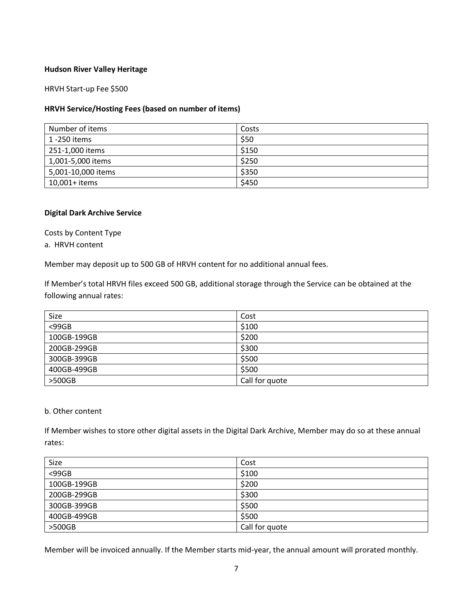#### **Hudson River Valley Heritage**

#### HRVH Start-up Fee \$500

#### **HRVH Service/Hosting Fees (based on number of items)**

| Number of items    | Costs |
|--------------------|-------|
| 1 -250 items       | \$50  |
| 251-1,000 items    | \$150 |
| 1,001-5,000 items  | \$250 |
| 5,001-10,000 items | \$350 |
| 10,001+ items      | \$450 |

#### **Digital Dark Archive Service**

Costs by Content Type

a. HRVH content

Member may deposit up to 500 GB of HRVH content for no additional annual fees.

If Member's total HRVH files exceed 500 GB, additional storage through the Service can be obtained at the following annual rates:

| Size        | Cost           |
|-------------|----------------|
| $<$ 99GB    | \$100          |
| 100GB-199GB | \$200          |
| 200GB-299GB | \$300          |
| 300GB-399GB | \$500          |
| 400GB-499GB | \$500          |
| $>500$ GB   | Call for quote |

#### b. Other content

If Member wishes to store other digital assets in the Digital Dark Archive, Member may do so at these annual rates:

| Size        | Cost           |
|-------------|----------------|
| $<$ 99GB    | \$100          |
| 100GB-199GB | \$200          |
| 200GB-299GB | \$300          |
| 300GB-399GB | \$500          |
| 400GB-499GB | \$500          |
| $>500$ GB   | Call for quote |

Member will be invoiced annually. If the Member starts mid-year, the annual amount will prorated monthly.